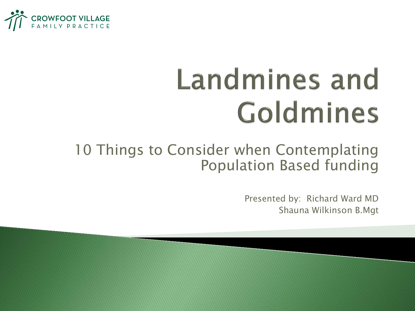

## **Landmines and** Goldmines

#### 10 Things to Consider when Contemplating Population Based funding

Presented by: Richard Ward MD Shauna Wilkinson B.Mgt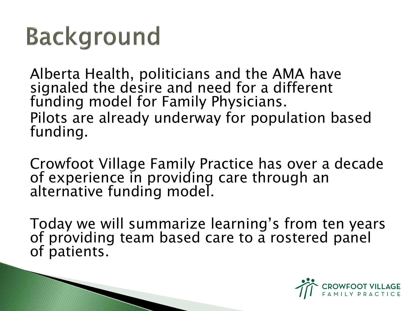#### **Background**

Alberta Health, politicians and the AMA have signaled the desire and need for a different funding model for Family Physicians. Pilots are already underway for population based funding.

Crowfoot Village Family Practice has over a decade of experience in providing care through an alternative funding model.

Today we will summarize learning's from ten years of providing team based care to a rostered panel of patients.

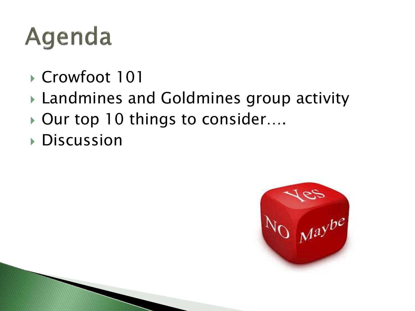#### Agenda

- ▶ Crowfoot 101
- Landmines and Goldmines group activity
- ▶ Our top 10 things to consider....
- **Discussion**

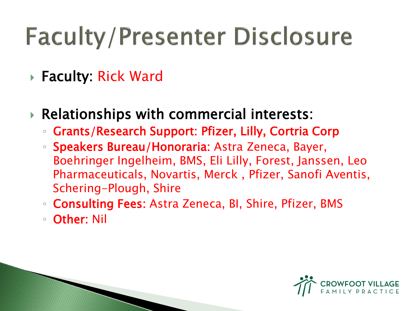#### **Faculty/Presenter Disclosure**

#### Faculty: Rick Ward

- Relationships with commercial interests:
	- Grants/Research Support: Pfizer, Lilly, Cortria Corp
	- Speakers Bureau/Honoraria: Astra Zeneca, Bayer, Boehringer Ingelheim, BMS, Eli Lilly, Forest, Janssen, Leo Pharmaceuticals, Novartis, Merck , Pfizer, Sanofi Aventis, Schering-Plough, Shire
	- Consulting Fees: Astra Zeneca, BI, Shire, Pfizer, BMS
	- Other: Nil

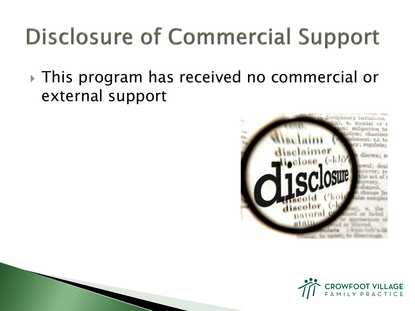#### **Disclosure of Commercial Support**

 This program has received no commercial or external support



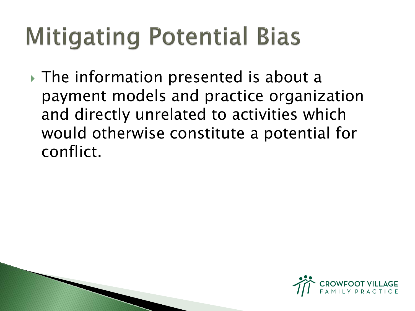#### **Mitigating Potential Bias**

**► The information presented is about a** payment models and practice organization and directly unrelated to activities which would otherwise constitute a potential for conflict.



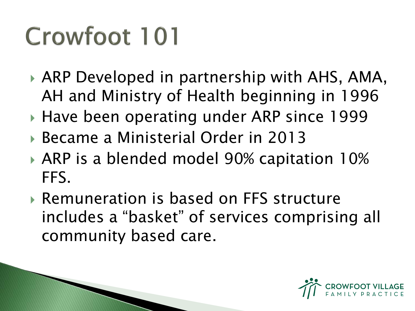### Crowfoot 101

- ARP Developed in partnership with AHS, AMA, AH and Ministry of Health beginning in 1996
- ▶ Have been operating under ARP since 1999
- Became a Ministerial Order in 2013
- ARP is a blended model 90% capitation 10% FFS.
- Remuneration is based on FFS structure includes a "basket" of services comprising all community based care.

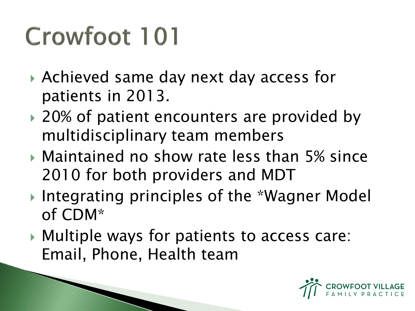### Crowfoot 101

- Achieved same day next day access for patients in 2013.
- ▶ 20% of patient encounters are provided by multidisciplinary team members
- Maintained no show rate less than 5% since 2010 for both providers and MDT
- Integrating principles of the \*Wagner Model of CDM\*
- Multiple ways for patients to access care: Email, Phone, Health team

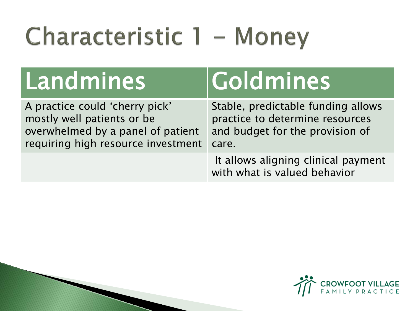### Characteristic 1 - Money

| Landmines                                                                                                                               | <b>IGoldmines</b>                                                                                                 |
|-----------------------------------------------------------------------------------------------------------------------------------------|-------------------------------------------------------------------------------------------------------------------|
| A practice could 'cherry pick'<br>mostly well patients or be<br>overwhelmed by a panel of patient<br>requiring high resource investment | Stable, predictable funding allows<br>practice to determine resources<br>and budget for the provision of<br>care. |
|                                                                                                                                         | It allows aligning clinical payment<br>with what is valued behavior                                               |

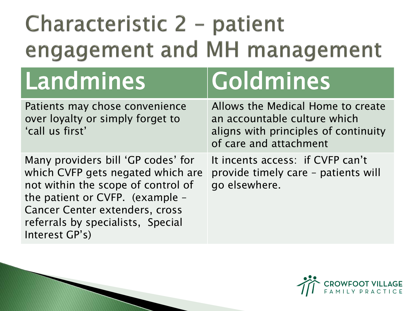#### Characteristic 2 - patient engagement and MH management

# Landmines Goldmines

over loyalty or simply forget to 'call us first'

Many providers bill 'GP codes' for which CVFP gets negated which are not within the scope of control of the patient or CVFP. (example – Cancer Center extenders, cross referrals by specialists, Special Interest GP's)

Allows the Medical Home to create an accountable culture which aligns with principles of continuity of care and attachment

It incents access: if CVFP can't provide timely care – patients will go elsewhere.

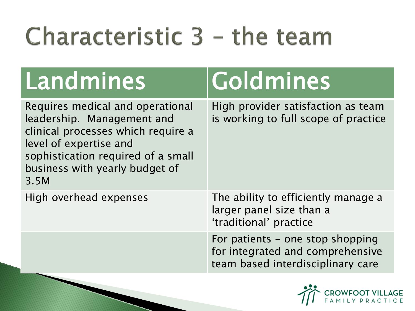## Characteristic 3 - the team

| Landmines                                                                                                                                                                                                      | Goldmines                                                                                                 |
|----------------------------------------------------------------------------------------------------------------------------------------------------------------------------------------------------------------|-----------------------------------------------------------------------------------------------------------|
| Requires medical and operational<br>leadership. Management and<br>clinical processes which require a<br>level of expertise and<br>sophistication required of a small<br>business with yearly budget of<br>3.5M | High provider satisfaction as team<br>is working to full scope of practice                                |
| High overhead expenses                                                                                                                                                                                         | The ability to efficiently manage a<br>larger panel size than a<br>'traditional' practice                 |
|                                                                                                                                                                                                                | For patients - one stop shopping<br>for integrated and comprehensive<br>team based interdisciplinary care |

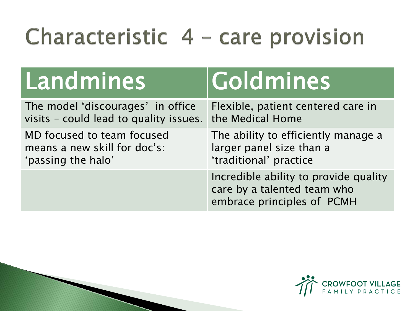#### Characteristic 4 - care provision

| Landmines                                                                                    | <b>Goldmines</b>                                                                                   |
|----------------------------------------------------------------------------------------------|----------------------------------------------------------------------------------------------------|
| The model 'discourages' in office<br>visits - could lead to quality issues. the Medical Home | Flexible, patient centered care in                                                                 |
| MD focused to team focused<br>means a new skill for doc's:<br>'passing the halo'             | The ability to efficiently manage a<br>larger panel size than a<br>'traditional' practice          |
|                                                                                              | Incredible ability to provide quality<br>care by a talented team who<br>embrace principles of PCMH |

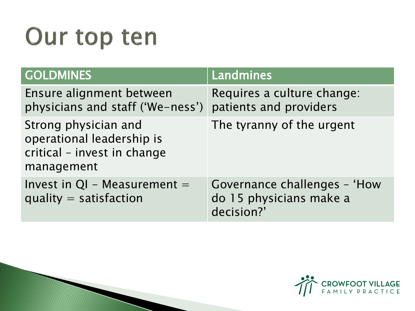#### Our top ten

| <b>GOLDMINES</b>                                                                               | Landmines                                                             |
|------------------------------------------------------------------------------------------------|-----------------------------------------------------------------------|
| Ensure alignment between<br>physicians and staff ('We-ness')                                   | Requires a culture change:<br>patients and providers                  |
| Strong physician and<br>operational leadership is<br>critical - invest in change<br>management | The tyranny of the urgent                                             |
| Invest in $QI$ – Measurement =<br>quality = satisfaction                                       | Governance challenges - 'How<br>do 15 physicians make a<br>decision?' |



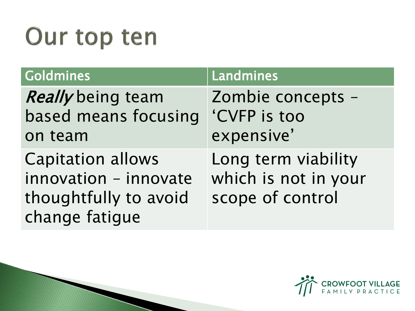#### Our top ten

| <b>Goldmines</b>                                                                             | Landmines                                                       |
|----------------------------------------------------------------------------------------------|-----------------------------------------------------------------|
| <b>Really</b> being team<br>based means focusing<br>on team                                  | Zombie concepts -<br>'CVFP is too<br>expensive'                 |
| <b>Capitation allows</b><br>innovation - innovate<br>thoughtfully to avoid<br>change fatigue | Long term viability<br>which is not in your<br>scope of control |